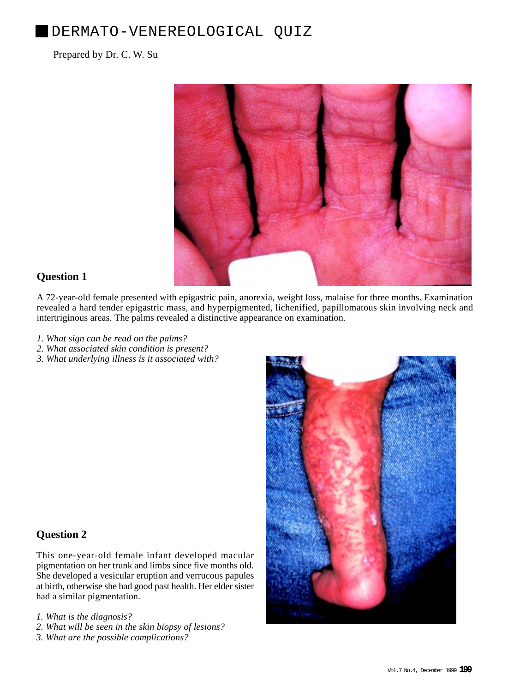# DERMATO-VENEREOLOGICAL QUIZ

### Prepared by Dr. C. W. Su



## **Question 1**

A 72-year-old female presented with epigastric pain, anorexia, weight loss, malaise for three months. Examination revealed a hard tender epigastric mass, and hyperpigmented, lichenified, papillomatous skin involving neck and intertriginous areas. The palms revealed a distinctive appearance on examination.

- *1. What sign can be read on the palms?*
- *2. What associated skin condition is present?*
- *3. What underlying illness is it associated with?*

# **Question 2**

This one-year-old female infant developed macular pigmentation on her trunk and limbs since five months old. She developed a vesicular eruption and verrucous papules at birth, otherwise she had good past health. Her elder sister had a similar pigmentation.

- *1. What is the diagnosis?*
- *2. What will be seen in the skin biopsy of lesions?*
- *3. What are the possible complications?*